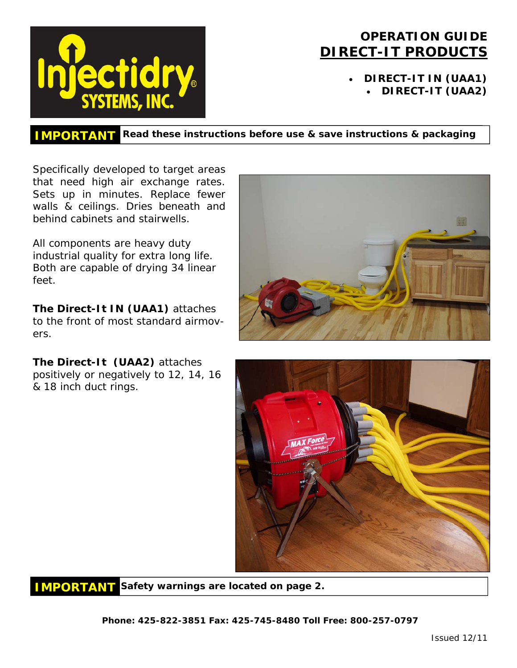

# **OPERATION GUIDE DIRECT-IT PRODUCTS**

• **DIRECT-IT IN (UAA1)**  • **DIRECT-IT (UAA2)** 

**IMPORTANT Read these instructions before use & save instructions & packaging** 

Specifically developed to target areas that need high air exchange rates. Sets up in minutes. Replace fewer walls & ceilings. Dries beneath and behind cabinets and stairwells.

All components are heavy duty industrial quality for extra long life. Both are capable of drying 34 linear feet.

**The Direct-It IN (UAA1)** attaches to the front of most standard airmovers.

**The Direct-It (UAA2)** attaches positively or negatively to 12, 14, 16 & 18 inch duct rings.



**IMPORTANT Safety warnings are located on page 2.** 

**Phone: 425-822-3851 Fax: 425-745-8480 Toll Free: 800-257-0797**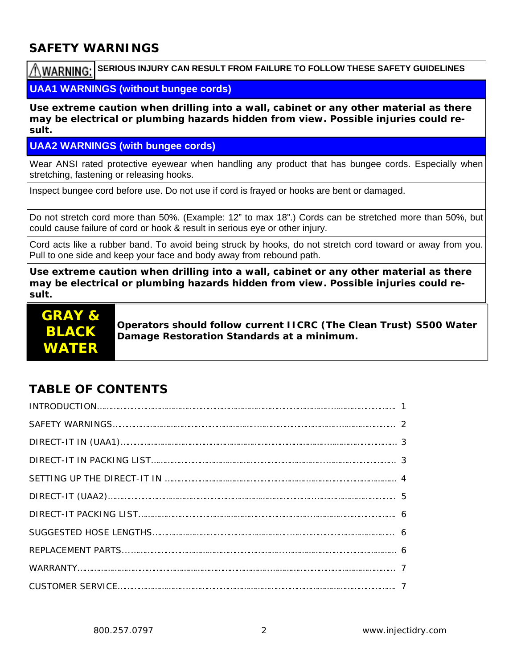### **SAFETY WARNINGS**

**AWARNING: SERIOUS INJURY CAN RESULT FROM FAILURE TO FOLLOW THESE SAFETY GUIDELINES** 

#### **UAA1 WARNINGS (without bungee cords)**

**Use extreme caution when drilling into a wall, cabinet or any other material as there may be electrical or plumbing hazards hidden from view. Possible injuries could result.** 

#### **UAA2 WARNINGS (with bungee cords)**

Wear ANSI rated protective eyewear when handling any product that has bungee cords. Especially when stretching, fastening or releasing hooks.

Inspect bungee cord before use. Do not use if cord is frayed or hooks are bent or damaged.

Do not stretch cord more than 50%. (Example: 12" to max 18".) Cords can be stretched more than 50%, but could cause failure of cord or hook & result in serious eye or other injury.

Cord acts like a rubber band. To avoid being struck by hooks, do not stretch cord toward or away from you. Pull to one side and keep your face and body away from rebound path.

**Use extreme caution when drilling into a wall, cabinet or any other material as there may be electrical or plumbing hazards hidden from view. Possible injuries could result.** 



**Operators should follow current IICRC (The Clean Trust) S500 Water Damage Restoration Standards at a minimum.** 

# **TABLE OF CONTENTS**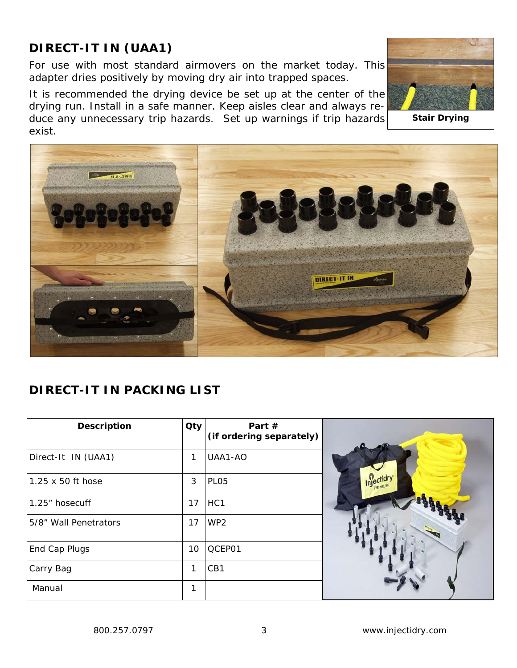# **DIRECT-IT IN (UAA1)**

For use with most standard airmovers on the market today. This adapter dries positively by moving dry air into trapped spaces.

It is recommended the drying device be set up at the center of the drying run. Install in a safe manner. Keep aisles clear and always reduce any unnecessary trip hazards. Set up warnings if trip hazards exist.





# **DIRECT-IT IN PACKING LIST**

| <b>Description</b>    | Qty | Part $#$<br>(if ordering separately) |  |
|-----------------------|-----|--------------------------------------|--|
| Direct-It IN (UAA1)   | 1   | UAA1-AO                              |  |
| 1.25 x 50 ft hose     | 3   | PL <sub>05</sub>                     |  |
| 1.25" hosecuff        | 17  | HC <sub>1</sub>                      |  |
| 5/8" Wall Penetrators | 17  | WP <sub>2</sub>                      |  |
| End Cap Plugs         | 10  | QCEP01                               |  |
| Carry Bag             | 1   | CB1                                  |  |
| Manual                | 1   |                                      |  |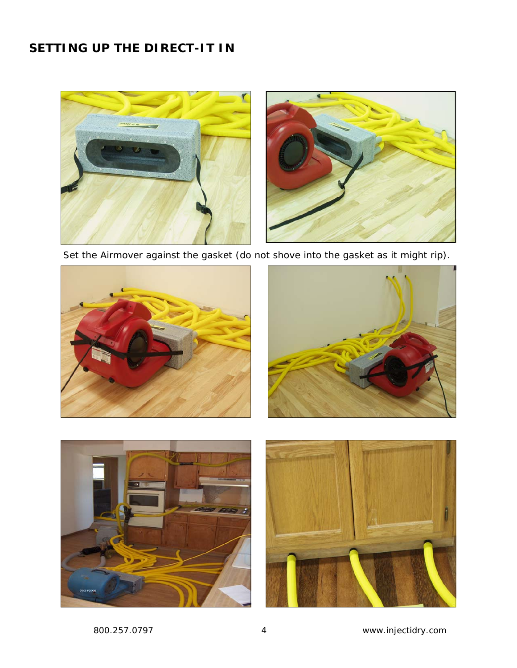# **SETTING UP THE DIRECT-IT IN**



Set the Airmover against the gasket (do not shove into the gasket as it might rip).

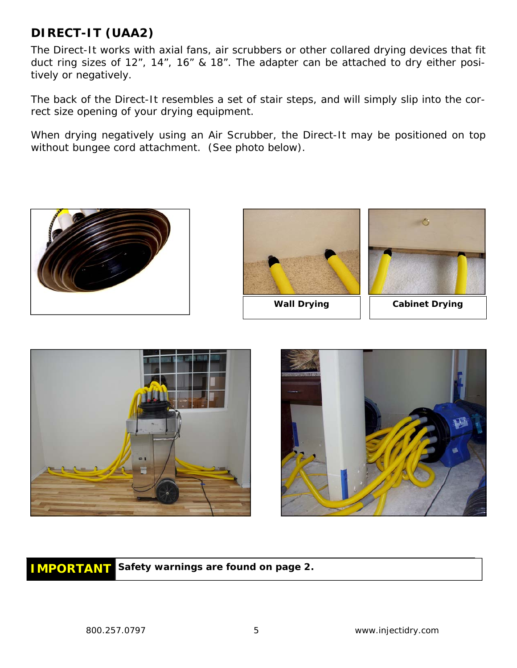### **DIRECT-IT (UAA2)**

The Direct-It works with axial fans, air scrubbers or other collared drying devices that fit duct ring sizes of 12", 14", 16" & 18". The adapter can be attached to dry either positively or negatively.

The back of the Direct-It resembles a set of stair steps, and will simply slip into the correct size opening of your drying equipment.

When drying negatively using an Air Scrubber, the Direct-It may be positioned on top without bungee cord attachment. (See photo below).







Wall Drying **No. 1. Solution** Cabinet Drying





**IMPORTANT Safety warnings are found on page 2.**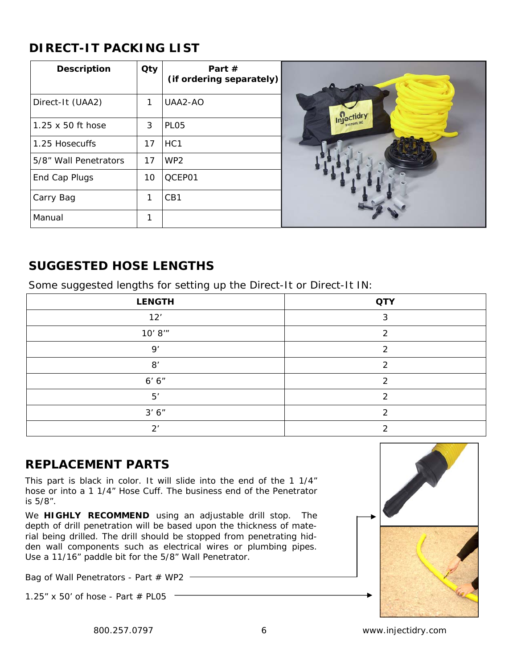# **DIRECT-IT PACKING LIST**

| <b>Description</b>    | Qty | Part $#$<br>(if ordering separately) |            |
|-----------------------|-----|--------------------------------------|------------|
| Direct-It (UAA2)      | 1   | UAA2-AO                              |            |
| 1.25 x 50 ft hose     | 3   | PL <sub>05</sub>                     | Injectidry |
| 1.25 Hosecuffs        | 17  | HC <sub>1</sub>                      |            |
| 5/8" Wall Penetrators | 17  | WP <sub>2</sub>                      |            |
| End Cap Plugs         | 10  | QCEP01                               |            |
| Carry Bag             | 1   | CB1                                  |            |
| Manual                | ◀   |                                      |            |

#### **SUGGESTED HOSE LENGTHS**

Some suggested lengths for setting up the Direct-It or Direct-It IN:

| <b>LENGTH</b>          | <b>QTY</b> |
|------------------------|------------|
| 12'                    | ົ          |
| 10' 8''                |            |
| Q'                     | っ          |
| 8'                     | ⌒          |
| 6' 6''                 | ◠          |
| 5'                     |            |
| 3' 6''                 |            |
| $\mathcal{D}^{\prime}$ |            |

#### **REPLACEMENT PARTS**

This part is black in color. It will slide into the end of the 1 1/4" hose or into a 1 1/4" Hose Cuff. The business end of the Penetrator is 5/8".

We **HIGHLY RECOMMEND** using an adjustable drill stop. The depth of drill penetration will be based upon the thickness of material being drilled. The drill should be stopped from penetrating hidden wall components such as electrical wires or plumbing pipes. Use a 11/16" paddle bit for the 5/8" Wall Penetrator.

Bag of Wall Penetrators - Part # WP2 ------------

1.25" x 50' of hose - Part  $#$  PL05  $-$